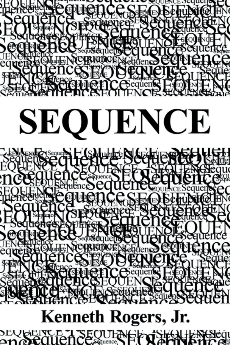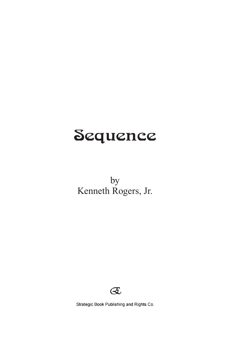# Sequence

by Kenneth Rogers, Jr.



Strategic Book Publishing and Rights Co.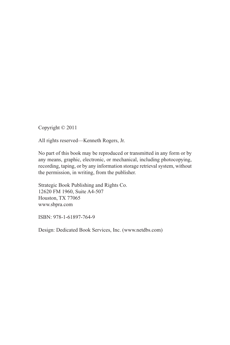Copyright © 2011

All rights reserved—Kenneth Rogers, Jr.

No part of this book may be reproduced or transmitted in any form or by any means, graphic, electronic, or mechanical, including photocopying, recording, taping, or by any information storage retrieval system, without the permission, in writing, from the publisher.

Strategic Book Publishing and Rights Co. 12620 FM 1960, Suite A4-507 Houston, TX 77065 www.sbpra.com

ISBN: 978-1-61897-764-9

Design: Dedicated Book Services, Inc. (www.netdbs.com)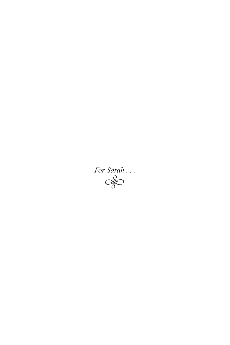For Sarah . . .  $\bigotimes^{\infty}$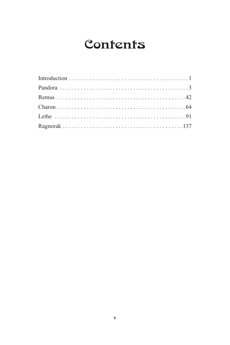## Contents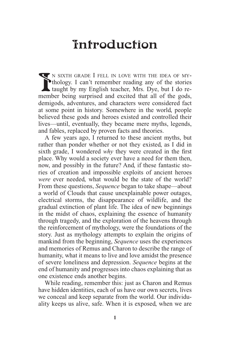### Introduction

IN SIXTH GRADE I FELL IN LOVE WITH THE IDEA OF MY-<br>thology. I can't remember reading any of the stories<br>taught by my English teacher, Mrs. Dye, but I do re-<br>member being surprised and excited that all of the gods thology. I can't remember reading any of the stories taught by my English teacher, Mrs. Dye, but I do remember being surprised and excited that all of the gods, demigods, adventures, and characters were considered fact at some point in history. Somewhere in the world, people believed these gods and heroes existed and controlled their lives—until, eventually, they became mere myths, legends, and fables, replaced by proven facts and theories.

A few years ago, I returned to these ancient myths, but rather than ponder whether or not they existed, as I did in sixth grade, I wondered *why* they were created in the first place. Why would a society ever have a need for them then, now, and possibly in the future? And, if these fantastic stories of creation and impossible exploits of ancient heroes *were* ever needed, what would be the state of the world? From these questions, *Sequence* began to take shape—about a world of Clouds that cause unexplainable power outages, electrical storms, the disappearance of wildlife, and the gradual extinction of plant life. The idea of new beginnings in the midst of chaos, explaining the essence of humanity through tragedy, and the exploration of the heavens through the reinforcement of mythology, were the foundations of the story. Just as mythology attempts to explain the origins of mankind from the beginning, *Sequence* uses the experiences and memories of Remus and Charon to describe the range of humanity, what it means to live and love amidst the presence of severe loneliness and depression. *Sequence* begins at the end of humanity and progresses into chaos explaining that as one existence ends another begins.

While reading, remember this: just as Charon and Remus have hidden identities, each of us have our own secrets, lives we conceal and keep separate from the world. Our individuality keeps us alive, safe. When it is exposed, when we are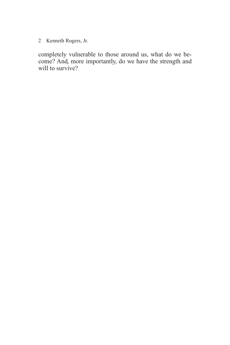completely vulnerable to those around us, what do we become? And, more importantly, do we have the strength and will to survive?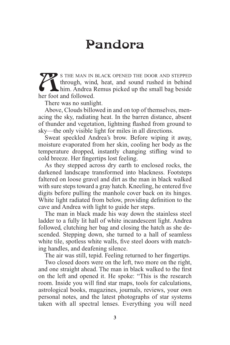### Pandora

S THE MAN IN BLACK OPENED THE DOOR AND STEPPED<br>through, wind, heat, and sound rushed in behind<br>him. Andrea Remus picked up the small bag beside<br>her foot and followed through, wind, heat, and sound rushed in behind him. Andrea Remus picked up the small bag beside her foot and followed.

There was no sunlight.

Above, Clouds billowed in and on top of themselves, menacing the sky, radiating heat. In the barren distance, absent of thunder and vegetation, lightning flashed from ground to sky—the only visible light for miles in all directions.

Sweat speckled Andrea's brow. Before wiping it away, moisture evaporated from her skin, cooling her body as the temperature dropped, instantly changing stifling wind to cold breeze. Her fingertips lost feeling.

As they stepped across dry earth to enclosed rocks, the darkened landscape transformed into blackness. Footsteps faltered on loose gravel and dirt as the man in black walked with sure steps toward a gray hatch. Kneeling, he entered five digits before pulling the manhole cover back on its hinges. White light radiated from below, providing definition to the cave and Andrea with light to guide her steps.

The man in black made his way down the stainless steel ladder to a fully lit hall of white incandescent light. Andrea followed, clutching her bag and closing the hatch as she descended. Stepping down, she turned to a hall of seamless white tile, spotless white walls, five steel doors with matching handles, and deafening silence.

The air was still, tepid. Feeling returned to her fingertips.

Two closed doors were on the left, two more on the right, and one straight ahead. The man in black walked to the first on the left and opened it. He spoke: "This is the research room. Inside you will find star maps, tools for calculations, astrological books, magazines, journals, reviews, your own personal notes, and the latest photographs of star systems taken with all spectral lenses. Everything you will need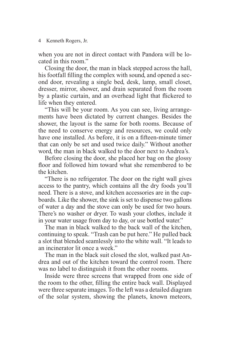when you are not in direct contact with Pandora will be located in this room."

Closing the door, the man in black stepped across the hall, his footfall filling the complex with sound, and opened a second door, revealing a single bed, desk, lamp, small closet, dresser, mirror, shower, and drain separated from the room by a plastic curtain, and an overhead light that flickered to life when they entered.

"This will be your room. As you can see, living arrangements have been dictated by current changes. Besides the shower, the layout is the same for both rooms. Because of the need to conserve energy and resources, we could only have one installed. As before, it is on a fifteen-minute timer that can only be set and used twice daily." Without another word, the man in black walked to the door next to Andrea's.

Before closing the door, she placed her bag on the glossy floor and followed him toward what she remembered to be the kitchen.

"There is no refrigerator. The door on the right wall gives access to the pantry, which contains all the dry foods you'll need. There is a stove, and kitchen accessories are in the cupboards. Like the shower, the sink is set to dispense two gallons of water a day and the stove can only be used for two hours. There's no washer or dryer. To wash your clothes, include it in your water usage from day to day, or use bottled water."

The man in black walked to the back wall of the kitchen, continuing to speak. "Trash can be put here." He pulled back a slot that blended seamlessly into the white wall. "It leads to an incinerator lit once a week."

The man in the black suit closed the slot, walked past Andrea and out of the kitchen toward the control room. There was no label to distinguish it from the other rooms.

Inside were three screens that wrapped from one side of the room to the other, filling the entire back wall. Displayed were three separate images. To the left was a detailed diagram of the solar system, showing the planets, known meteors,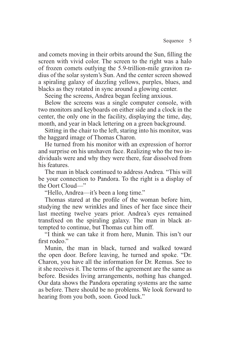and comets moving in their orbits around the Sun, filling the screen with vivid color. The screen to the right was a halo of frozen comets outlying the 5.9-trillion-mile graviton radius of the solar system's Sun. And the center screen showed a spiraling galaxy of dazzling yellows, purples, blues, and blacks as they rotated in sync around a glowing center.

Seeing the screens, Andrea began feeling anxious.

Below the screens was a single computer console, with two monitors and keyboards on either side and a clock in the center, the only one in the facility, displaying the time, day, month, and year in black lettering on a green background.

Sitting in the chair to the left, staring into his monitor, was the haggard image of Thomas Charon.

He turned from his monitor with an expression of horror and surprise on his unshaven face. Realizing who the two individuals were and why they were there, fear dissolved from his features.

The man in black continued to address Andrea. "This will be your connection to Pandora. To the right is a display of the Oort Cloud—"

"Hello, Andrea—it's been a long time."

Thomas stared at the profile of the woman before him, studying the new wrinkles and lines of her face since their last meeting twelve years prior. Andrea's eyes remained transfixed on the spiraling galaxy. The man in black attempted to continue, but Thomas cut him off.

"I think we can take it from here, Munin. This isn't our first rodeo."

Munin, the man in black, turned and walked toward the open door. Before leaving, he turned and spoke. "Dr. Charon, you have all the information for Dr. Remus. See to it she receives it. The terms of the agreement are the same as before. Besides living arrangements, nothing has changed. Our data shows the Pandora operating systems are the same as before. There should be no problems. We look forward to hearing from you both, soon. Good luck."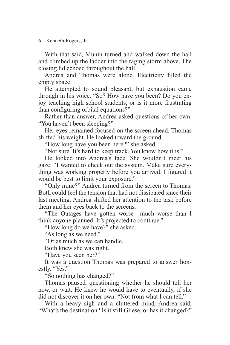With that said, Munin turned and walked down the hall and climbed up the ladder into the raging storm above. The closing lid echoed throughout the hall.

Andrea and Thomas were alone. Electricity filled the empty space.

He attempted to sound pleasant, but exhaustion came through in his voice. "So? How have you been? Do you enjoy teaching high school students, or is it more frustrating than configuring orbital equations?"

Rather than answer, Andrea asked questions of her own. "You haven't been sleeping?"

Her eyes remained focused on the screen ahead. Thomas shifted his weight. He looked toward the ground.

"How long have you been here?" she asked.

"Not sure. It's hard to keep track. You know how it is."

He looked into Andrea's face. She wouldn't meet his gaze. "I wanted to check out the system. Make sure everything was working properly before you arrived. I figured it would be best to limit your exposure."

"Only mine?" Andrea turned from the screen to Thomas. Both could feel the tension that had not dissipated since their last meeting. Andrea shifted her attention to the task before them and her eyes back to the screens.

"The Outages have gotten worse—much worse than I think anyone planned. It's projected to continue."

"How long do we have?" she asked.

"As long as we need."

"Or as much as we can handle.

Both knew she was right.

"Have you seen her?"

It was a question Thomas was prepared to answer honestly. "Yes."

"So nothing has changed?"

Thomas paused, questioning whether he should tell her now, or wait. He knew he would have to eventually, if she did not discover it on her own. "Not from what I can tell."

With a heavy sigh and a cluttered mind, Andrea said, "What's the destination? Is it still Gliese, or has it changed?"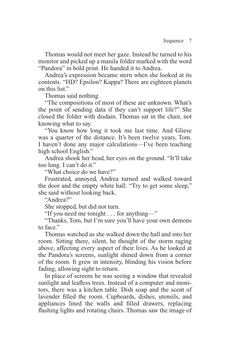Thomas would not meet her gaze. Instead he turned to his monitor and picked up a manila folder marked with the word "Pandora" in bold print. He handed it to Andrea.

Andrea's expression became stern when she looked at its contents. "HD? Epsilon? Kappa? There are eighteen planets on this list."

Thomas said nothing.

"The compositions of most of these are unknown. What's the point of sending data if they can't support life?" She closed the folder with disdain. Thomas sat in the chair, not knowing what to say.

"You know how long it took me last time. And Gliese was a quarter of the distance. It's been twelve years, Tom. I haven't done any major calculations—I've been teaching high school English."

Andrea shook her head, her eyes on the ground. "It'll take too long. I can't do it."

"What choice do we have?"

Frustrated, annoyed, Andrea turned and walked toward the door and the empty white hall. "Try to get some sleep," she said without looking back.

"Andrea?"

She stopped, but did not turn.

"If you need me tonight . . . for anything—"

"Thanks, Tom, but I'm sure you'll have your own demons to face"

Thomas watched as she walked down the hall and into her room. Sitting there, silent, he thought of the storm raging above, affecting every aspect of their lives. As he looked at the Pandora's screens, sunlight shined down from a corner of the room. It grew in intensity, blinding his vision before fading, allowing sight to return.

In place of screens he was seeing a window that revealed sunlight and leafless trees. Instead of a computer and monitors, there was a kitchen table. Dish soap and the scent of lavender filled the room. Cupboards, dishes, utensils, and appliances lined the walls and filled drawers, replacing flashing lights and rotating chairs. Thomas saw the image of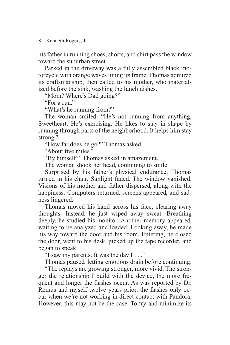his father in running shoes, shorts, and shirt pass the window toward the suburban street.

Parked in the driveway was a fully assembled black motorcycle with orange waves lining its frame. Thomas admired its craftsmanship, then called to his mother, who materialized before the sink, washing the lunch dishes.

"Mom? Where's Dad going?"

"For a run."

"What's he running from?"

The woman smiled. "He's not running from anything, Sweetheart. He's exercising. He likes to stay in shape by running through parts of the neighborhood. It helps him stay strong."

"How far does he go?" Thomas asked.

"About five miles."

"By himself?" Thomas asked in amazement.

The woman shook her head, continuing to smile.

Surprised by his father's physical endurance, Thomas turned in his chair. Sunlight faded. The window vanished. Visions of his mother and father dispersed, along with the happiness. Computers returned, screens appeared, and sadness lingered.

Thomas moved his hand across his face, clearing away thoughts. Instead, he just wiped away sweat. Breathing deeply, he studied his monitor. Another memory appeared, waiting to be analyzed and loaded. Looking away, he made his way toward the door and his room. Entering, he closed the door, went to his desk, picked up the tape recorder, and began to speak.

"I saw my parents. It was the day I . . ."

Thomas paused, letting emotions drain before continuing.

"The replays are growing stronger, more vivid. The stronger the relationship I build with the device, the more frequent and longer the flashes occur. As was reported by Dr. Remus and myself twelve years prior, the flashes only occur when we're not working in direct contact with Pandora. However, this may not be the case. To try and minimize its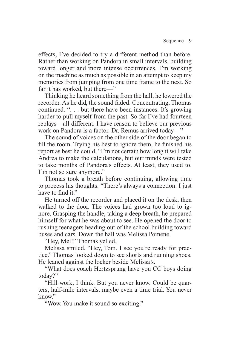effects, I've decided to try a different method than before. Rather than working on Pandora in small intervals, building toward longer and more intense occurrences, I'm working on the machine as much as possible in an attempt to keep my memories from jumping from one time frame to the next. So far it has worked, but there—"

Thinking he heard something from the hall, he lowered the recorder. As he did, the sound faded. Concentrating, Thomas continued. ". . . but there have been instances. It's growing harder to pull myself from the past. So far I've had fourteen replays—all different. I have reason to believe our previous work on Pandora is a factor. Dr. Remus arrived today—"

The sound of voices on the other side of the door began to fill the room. Trying his best to ignore them, he finished his report as best he could. "I'm not certain how long it will take Andrea to make the calculations, but our minds were tested to take months of Pandora's effects. At least, they used to. I'm not so sure anymore."

Thomas took a breath before continuing, allowing time to process his thoughts. "There's always a connection. I just have to find it."

He turned off the recorder and placed it on the desk, then walked to the door. The voices had grown too loud to ignore. Grasping the handle, taking a deep breath, he prepared himself for what he was about to see. He opened the door to rushing teenagers heading out of the school building toward buses and cars. Down the hall was Melissa Pomene.

"Hey, Mel!" Thomas yelled.

Melissa smiled. "Hey, Tom. I see you're ready for practice." Thomas looked down to see shorts and running shoes. He leaned against the locker beside Melissa's.

"What does coach Hertzsprung have you CC boys doing today?"

"Hill work, I think. But you never know. Could be quarters, half-mile intervals, maybe even a time trial. You never know."

"Wow. You make it sound so exciting."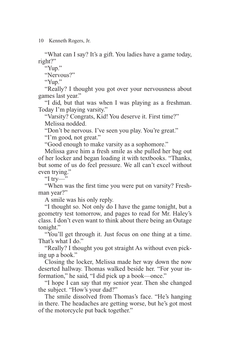"What can I say? It's a gift. You ladies have a game today, right?"

"Yup."

"Nervous?"

"Yup."

"Really? I thought you got over your nervousness about games last year."

"I did, but that was when I was playing as a freshman. Today I'm playing varsity."

"Varsity? Congrats, Kid! You deserve it. First time?" Melissa nodded.

"Don't be nervous. I've seen you play. You're great."

"I'm good, not great."

"Good enough to make varsity as a sophomore."

Melissa gave him a fresh smile as she pulled her bag out of her locker and began loading it with textbooks. "Thanks, but some of us do feel pressure. We all can't excel without even trying."

"I try—"

"When was the first time you were put on varsity? Freshman year?"

A smile was his only reply.

"I thought so. Not only do I have the game tonight, but a geometry test tomorrow, and pages to read for Mr. Haley's class. I don't even want to think about there being an Outage tonight."

"You'll get through it. Just focus on one thing at a time. That's what I do."

"Really? I thought you got straight As without even picking up a book."

Closing the locker, Melissa made her way down the now deserted hallway. Thomas walked beside her. "For your information," he said, "I did pick up a book—once."

"I hope I can say that my senior year. Then she changed the subject. "How's your dad?"

The smile dissolved from Thomas's face. "He's hanging in there. The headaches are getting worse, but he's got most of the motorcycle put back together."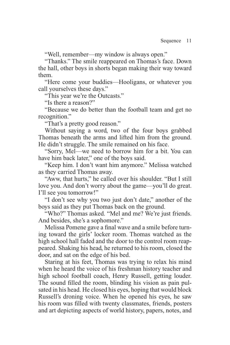"Well, remember—my window is always open."

"Thanks." The smile reappeared on Thomas's face. Down the hall, other boys in shorts began making their way toward them.

"Here come your buddies—Hooligans, or whatever you call yourselves these days."

"This year we're the Outcasts."

"Is there a reason?"

"Because we do better than the football team and get no recognition."

"That's a pretty good reason."

Without saying a word, two of the four boys grabbed Thomas beneath the arms and lifted him from the ground. He didn't struggle. The smile remained on his face.

"Sorry, Mel—we need to borrow him for a bit. You can have him back later," one of the boys said.

"Keep him. I don't want him anymore." Melissa watched as they carried Thomas away.

"Aww, that hurts," he called over his shoulder. "But I still love you. And don't worry about the game—you'll do great. I'll see you tomorrow!"

"I don't see why you two just don't date," another of the boys said as they put Thomas back on the ground.

"Who?" Thomas asked. "Mel and me? We're just friends. And besides, she's a sophomore."

Melissa Pomene gave a final wave and a smile before turning toward the girls' locker room. Thomas watched as the high school hall faded and the door to the control room reappeared. Shaking his head, he returned to his room, closed the door, and sat on the edge of his bed.

Staring at his feet, Thomas was trying to relax his mind when he heard the voice of his freshman history teacher and high school football coach, Henry Russell, getting louder. The sound filled the room, blinding his vision as pain pulsated in his head. He closed his eyes, hoping that would block Russell's droning voice. When he opened his eyes, he saw his room was filled with twenty classmates, friends, posters and art depicting aspects of world history, papers, notes, and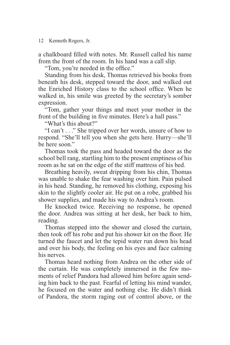a chalkboard filled with notes. Mr. Russell called his name from the front of the room. In his hand was a call slip.

"Tom, you're needed in the office."

Standing from his desk, Thomas retrieved his books from beneath his desk, stepped toward the door, and walked out the Enriched History class to the school office. When he walked in, his smile was greeted by the secretary's somber expression.

"Tom, gather your things and meet your mother in the front of the building in five minutes. Here's a hall pass."

"What's this about?"

"I can't . . ." She tripped over her words, unsure of how to respond. "She'll tell you when she gets here. Hurry—she'll be here soon."

Thomas took the pass and headed toward the door as the school bell rang, startling him to the present emptiness of his room as he sat on the edge of the stiff mattress of his bed.

Breathing heavily, sweat dripping from his chin, Thomas was unable to shake the fear washing over him. Pain pulsed in his head. Standing, he removed his clothing, exposing his skin to the slightly cooler air. He put on a robe, grabbed his shower supplies, and made his way to Andrea's room.

He knocked twice. Receiving no response, he opened the door. Andrea was sitting at her desk, her back to him, reading.

Thomas stepped into the shower and closed the curtain, then took off his robe and put his shower kit on the floor. He turned the faucet and let the tepid water run down his head and over his body, the feeling on his eyes and face calming his nerves.

Thomas heard nothing from Andrea on the other side of the curtain. He was completely immersed in the few moments of relief Pandora had allowed him before again sending him back to the past. Fearful of letting his mind wander, he focused on the water and nothing else. He didn't think of Pandora, the storm raging out of control above, or the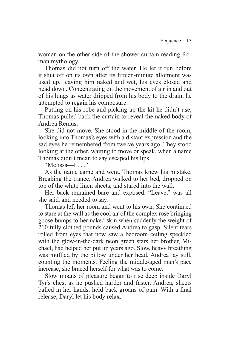woman on the other side of the shower curtain reading Roman mythology.

Thomas did not turn off the water. He let it run before it shut off on its own after its fifteen-minute allotment was used up, leaving him naked and wet, his eyes closed and head down. Concentrating on the movement of air in and out of his lungs as water dripped from his body to the drain, he attempted to regain his composure.

Putting on his robe and picking up the kit he didn't use, Thomas pulled back the curtain to reveal the naked body of Andrea Remus.

She did not move. She stood in the middle of the room, looking into Thomas's eyes with a distant expression and the sad eyes he remembered from twelve years ago. They stood looking at the other, waiting to move or speak, when a name Thomas didn't mean to say escaped his lips.

"Melissa—I . . ."

As the name came and went, Thomas knew his mistake. Breaking the trance, Andrea walked to her bed, dropped on top of the white linen sheets, and stared into the wall.

Her back remained bare and exposed. "Leave," was all she said, and needed to say.

Thomas left her room and went to his own. She continued to stare at the wall as the cool air of the complex rose bringing goose bumps to her naked skin when suddenly the weight of 210 fully clothed pounds caused Andrea to gasp. Silent tears rolled from eyes that now saw a bedroom ceiling speckled with the glow-in-the-dark neon green stars her brother, Michael, had helped her put up years ago. Slow, heavy breathing was muffled by the pillow under her head. Andrea lay still, counting the moments. Feeling the middle-aged man's pace increase, she braced herself for what was to come.

Slow moans of pleasure began to rise deep inside Daryl Tyr's chest as he pushed harder and faster. Andrea, sheets balled in her hands, held back groans of pain. With a final release, Daryl let his body relax.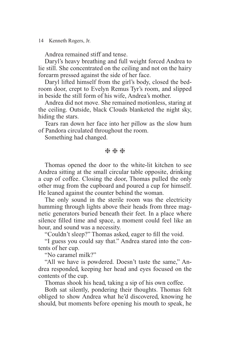Andrea remained stiff and tense.

Daryl's heavy breathing and full weight forced Andrea to lie still. She concentrated on the ceiling and not on the hairy forearm pressed against the side of her face.

Daryl lifted himself from the girl's body, closed the bedroom door, crept to Evelyn Remus Tyr's room, and slipped in beside the still form of his wife, Andrea's mother.

Andrea did not move. She remained motionless, staring at the ceiling. Outside, black Clouds blanketed the night sky, hiding the stars.

Tears ran down her face into her pillow as the slow hum of Pandora circulated throughout the room.

Something had changed.

#### ❈ ❈ ❈

Thomas opened the door to the white-lit kitchen to see Andrea sitting at the small circular table opposite, drinking a cup of coffee. Closing the door, Thomas pulled the only other mug from the cupboard and poured a cup for himself. He leaned against the counter behind the woman.

The only sound in the sterile room was the electricity humming through lights above their heads from three magnetic generators buried beneath their feet. In a place where silence filled time and space, a moment could feel like an hour, and sound was a necessity.

"Couldn't sleep?" Thomas asked, eager to fill the void.

"I guess you could say that." Andrea stared into the contents of her cup.

"No caramel milk?"

"All we have is powdered. Doesn't taste the same," Andrea responded, keeping her head and eyes focused on the contents of the cup.

Thomas shook his head, taking a sip of his own coffee.

Both sat silently, pondering their thoughts. Thomas felt obliged to show Andrea what he'd discovered, knowing he should, but moments before opening his mouth to speak, he